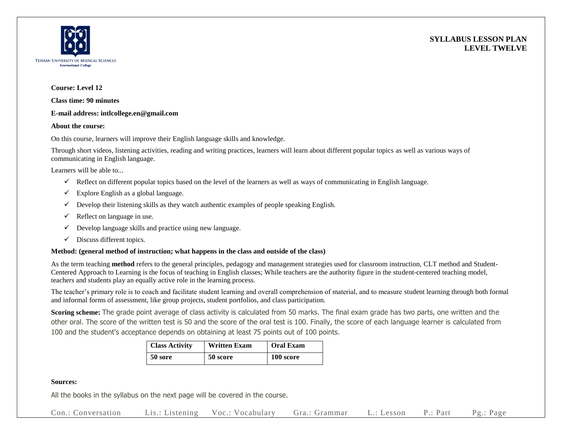



#### **Course: Level 12**

**Class time: 90 minutes**

### **E-mail address: intlcollege.en@gmail.com**

### **About the course:**

On this course, learners will improve their English language skills and knowledge.

Through short videos, listening activities, reading and writing practices, learners will learn about different popular topics as well as various ways of communicating in English language.

Learners will be able to...

- $\checkmark$  Reflect on different popular topics based on the level of the learners as well as ways of communicating in English language.
- $\checkmark$  Explore English as a global language.
- $\checkmark$  Develop their listening skills as they watch authentic examples of people speaking English.
- $\checkmark$  Reflect on language in use.
- $\checkmark$  Develop language skills and practice using new language.
- $\checkmark$  Discuss different topics.

## **Method: (general method of instruction; what happens in the class and outside of the class)**

As the term teaching **method** refers to the general principles, pedagogy and management strategies used for classroom instruction, CLT method and Student-Centered Approach to Learning is the focus of teaching in English classes; While teachers are the authority figure in the student-centered teaching model, teachers and students play an equally active role in the learning process.

The teacher's primary role is to coach and facilitate student learning and overall comprehension of material, and to measure student learning through both formal and informal forms of assessment, like group projects, student portfolios, and class participation.

**Scoring scheme:** The grade point average of class activity is calculated from 50 marks. The final exam grade has two parts, one written and the other oral. The score of the written test is 50 and the score of the oral test is 100. Finally, the score of each language learner is calculated from 100 and the student's acceptance depends on obtaining at least 75 points out of 100 points.

| <b>Class Activity</b> | <b>Written Exam</b> | <b>Oral Exam</b> |  |
|-----------------------|---------------------|------------------|--|
| 50 sore               | 50 score            | 100 score        |  |

## **Sources:**

All the books in the syllabus on the next page will be covered in the course.

Con.: Conversation Lis.: Listening Voc.: Vocabulary Gra.: Grammar L.: Lesson P.: Part Pg.: Page